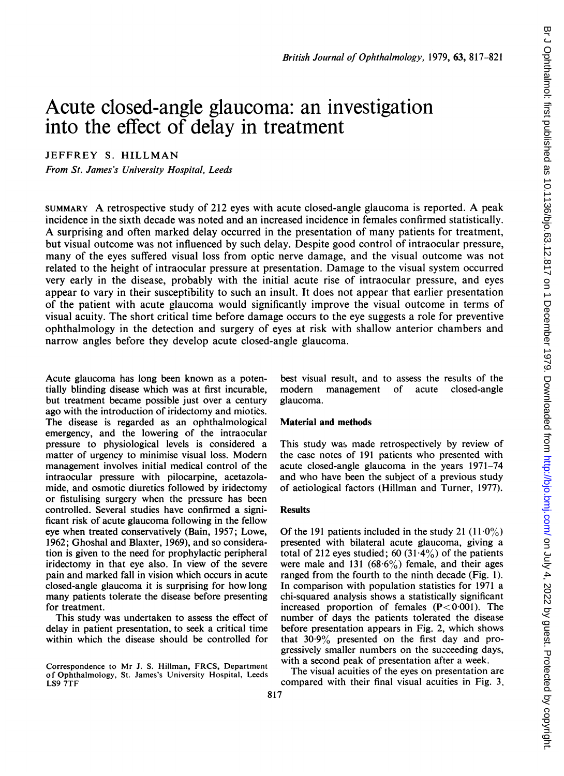# Acute closed-angle glaucoma: an investigation into the effect of delay in treatment

JEFFREY S. HILLMAN

From St. James's University Hospital, Leeds

SUMMARY A retrospective study of <sup>212</sup> eyes with acute closed-angle glaucoma is reported. A peak incidence in the sixth decade was noted and an increased incidence in females confirmed statistically. A surprising and often marked delay occurred in the presentation of many patients for treatment, but visual outcome was not influenced by such delay. Despite good control of intraocular pressure, many of the eyes suffered visual loss from optic nerve damage, and the visual outcome was not related to the height of intraocular pressure at presentation. Damage to the visual system occurred very early in the disease, probably with the initial acute rise of intraocular pressure, and eyes appear to vary in their susceptibility to such an insult. It does not appear that earlier presentation of the patient with acute glaucoma would significantly improve the visual outcome in terms of visual acuity. The short critical time before damage occurs to the eye suggests a role for preventive ophthalmology in the detection and surgery of eyes at risk with shallow anterior chambers and narrow angles before they develop acute closed-angle glaucoma.

Acute glaucoma has long been known as a potentially blinding disease which was at first incurable, but treatment became possible just over a century ago with the introduction of iridectomy and miotics. The disease is regarded as an ophthalmological emergency, and the lowering of the intraocular pressure to physiological levels is considered a matter of urgency to minimise visual loss. Modern management involves initial medical control of the intraocular pressure with pilocarpine, acetazolamide, and osmotic diuretics followed by iridectomy or fistulising surgery when the pressure has been controlled. Several studies have confirmed a significant risk of acute glaucoma following in the fellow eye when treated conservatively (Bain, 1957; Lowe, 1962; Ghoshal and Blaxter, 1969), and so consideration is given to the need for prophylactic peripheral iridectomy in that eye also. In view of the severe pain and marked fall in vision which occurs in acute closed-angle glaucoma it is surprising for how long many patients tolerate the disease before presenting for treatment.

This study was undertaken to assess the effect of delay in patient presentation, to seek a critical time within which the disease should be controlled for

best visual result, and to assess the results of the modern management of acute closed-angle glaucoma.

# Material and methods

This study was made retrospectively by review of the case notes of 191 patients who presented with acute closed-angle glaucoma in the years 1971-74 and who have been the subject of a previous study of aetiological factors (Hillman and Turner, 1977).

### **Results**

Of the 191 patients included in the study 21  $(11.0\%)$ presented with bilateral acute glaucoma, giving a total of 212 eyes studied; 60 (31.4%) of the patients were male and 131  $(68.6\%)$  female, and their ages ranged from the fourth to the ninth decade (Fig. 1). In comparison with population statistics for 1971 a chi-squared analysis shows a statistically significant increased proportion of females  $(P < 0.001)$ . The number of days the patients tolerated the disease before presentation appears in Fig. 2, which shows that  $30.9\%$  presented on the first day and progressively smaller numbers on the succeeding days, with a second peak of presentation after a week.

The visual acuities of the eyes on presentation are compared with their final visual acuities in Fig. 3.

Correspondence to Mr J. S. Hillman, FRCS, Department of Ophthalmology, St. James's University Hospital, Leeds LS9 7TF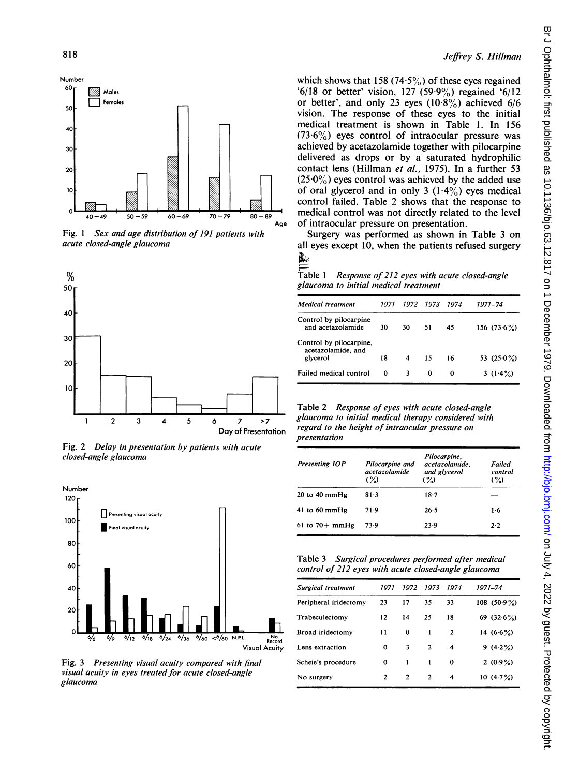

Fig. 1 Sex and age distribution of 191 patients with acute closed-angle glaucoma



Fig. 2 Delay in presentation by patients with acute closed-angle glaucoma



Fig. 3 Presenting visual acuity compared with final visual acuity in eyes treated for acute closed-angle glaucoma

## Jeffrey S. Hillman

which shows that 158 (74.5%) of these eyes regained '6/18 or better' vision, 127 (59.9%) regained '6/12 or better', and only 23 eyes  $(10.8\%)$  achieved 6/6 vision. The response of these eyes to the initial medical treatment is shown in Table 1. In 156  $(73.6\%)$  eyes control of intraocular pressure was achieved by acetazolamide together with pilocarpine delivered as drops or by a saturated hydrophilic contact lens (Hillman et al., 1975). In a further 53  $(25.0\%)$  eyes control was achieved by the added use of oral glycerol and in only 3  $(1.4\%)$  eyes medical control failed. Table 2 shows that the response to medical control was not directly related to the level Age of intraocular pressure on presentation.

Surgery was performed as shown in Table 3 on all eyes except 10, when the patients refused surgery 颪

Table <sup>1</sup> Response of 212 eyes with acute closed-angle glaucoma to initial medical treatment

| 1971 |    |    | 1074      | 1971–74        |
|------|----|----|-----------|----------------|
| 30   | 30 | 51 | 45        | 156 $(73.6\%)$ |
| 18   | 4  | 15 | 16        | 53 $(25.0\%)$  |
| O    | 3  | 0  | 0         | 3 $(1.4\%)$    |
|      |    |    | 1972 1973 |                |

Table 2 Response of eyes with acute closed-angle glaucoma to initial medical therapy considered with regard to the height of intraocular pressure on presentation

|                       |                                            | Pilocarpine,                              |                          |
|-----------------------|--------------------------------------------|-------------------------------------------|--------------------------|
| <b>Presenting IOP</b> | Pilocarpine and<br>acetazolamide<br>$($ %) | acetazolamide.<br>and glycerol<br>$(\% )$ | Failed<br>control<br>(%) |
| $20$ to $40$ mmHg     | 81.3                                       | $18-7$                                    |                          |
| 41 to 60 mm $Hg$      | 71.9                                       | 26.5                                      | 1.6                      |
| 61 to $70+$ mmHg      | 73.9                                       | 23.9                                      | 2.2                      |

| Table 3 |  | Surgical procedures performed after medical          |
|---------|--|------------------------------------------------------|
|         |  | control of 212 eyes with acute closed-angle glaucoma |

| Surgical treatment      | 1971              | 1972         | 1073           | 1974         | 1971-74        |
|-------------------------|-------------------|--------------|----------------|--------------|----------------|
| Peripheral iridectomy   | 23                | 17           | 35             | 33           | 108 $(50.9\%)$ |
| Trabeculectomy          | $12 \overline{ }$ | 14           | 25             | 18           | 69 $(32.6\%)$  |
| <b>Broad</b> iridectomy | 11                | 0            | 1              | $\mathbf{2}$ | 14 $(6.6\%)$   |
| Lens extraction         | 0                 | 3            | $\overline{2}$ | 4            | 9 $(4.2\%)$    |
| Scheie's procedure      | 0                 | 1            | 1              | $\Omega$     | $2(0.9\%)$     |
| No surgery              | 2                 | $\mathbf{2}$ | 2              | 4            | $10(4.7\%)$    |
|                         |                   |              |                |              |                |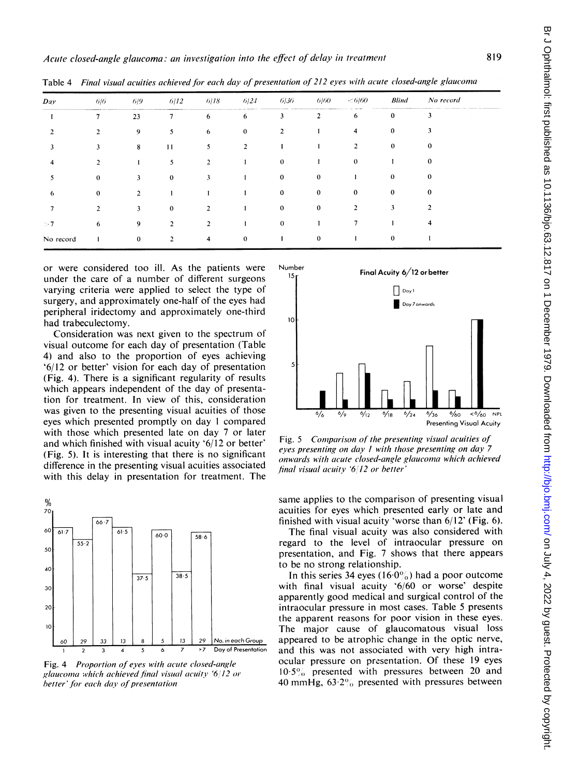| Day       | 6/6            | 6/9            | 6/12           | 6/18                    | 6/24           | 6/36           | 6/60           | < 6/60         | <b>Blind</b> | No record |
|-----------|----------------|----------------|----------------|-------------------------|----------------|----------------|----------------|----------------|--------------|-----------|
|           | 7              | 23             | $\overline{7}$ | 6                       | 6              | 3              | $\overline{2}$ | 6              | $\mathbf 0$  | 3         |
|           | $\overline{2}$ | 9              | 5              | 6                       | $\mathbf{0}$   | $\overline{2}$ |                | 4              | $\bf{0}$     | 3         |
| 3         | 3              | 8              | 11             | 5                       | $\overline{2}$ |                |                | $\overline{2}$ | $\bf{0}$     | $\bf{0}$  |
| 4         | $\overline{2}$ | 1              | 5              | $\overline{2}$          |                | $\bf{0}$       |                | $\theta$       |              | $\bf{0}$  |
| 5         | $\theta$       | 3              | $\bf{0}$       | 3                       |                | $\bf{0}$       | $\bf{0}$       |                | $\bf{0}$     | $\bf{0}$  |
| 6         | $\mathbf{0}$   | $\overline{2}$ |                |                         |                | $\bf{0}$       | $\mathbf{0}$   | $\mathbf{0}$   | $\mathbf{0}$ | $\bf{0}$  |
|           | $\overline{2}$ | 3              | $\mathbf{0}$   | $\overline{2}$          |                | $\bf{0}$       | $\bf{0}$       | $\overline{2}$ | 3            | 2         |
| >7        | 6              | 9              | $\overline{2}$ | $\overline{2}$          |                | $\mathbf{0}$   |                |                |              | 4         |
| No record | $\mathbf{1}$   | $\bf{0}$       | $\overline{2}$ | $\overline{\mathbf{4}}$ | $\mathbf{0}$   |                | $\mathbf{0}$   | $\mathbf{I}$   | $\mathbf{0}$ |           |

Table 4 Final visual acuities achieved for each day of presentation of 212 eyes with acute closed-angle glaucoma

or were considered too ill. As the patients were under the care of a number of different surgeons varying criteria were applied to select the type of surgery, and approximately one-half of the eyes had peripheral iridectomy and approximately one-third had trabeculectomy.

Consideration was next given to the spectrum of visual outcome for each day of presentation (Table 4) and also to the proportion of eyes achieving '6/12 or better' vision for each day of presentation (Fig. 4). There is a significant regularity of results which appears independent of the day of presentation for treatment. In view of this, consideration was given to the presenting visual acuities of those eyes which presented promptly on day <sup>I</sup> compared with those which presented late on day 7 or later and which finished with visual acuity '6/12 or better' (Fig. 5). It is interesting that there is no significant difference in the presenting visual acuities associated with this delay in presentation for treatment. The



Fig. 4 Proportion of eyes with acute closed-angle glaucoma which achieved final visual acuity '6/12 or better' for each day of presentation



Fig. 5 Comparison of the presenting visual acuities of eyes presenting on day <sup>I</sup> with those presenting on day 7 onwards with acute closed-angle glaucoma which achieved final visual acuity '6'12 or better'

same applies to the comparison of presenting visual acuities for eyes which presented early or late and finished with visual acuity 'worse than 6/12' (Fig. 6).

The final visual acuity was also considered with regard to the level of intraocular pressure on presentation, and Fig. 7 shows that there appears to be no strong relationship.

In this series 34 eyes (16 $0\%$ ) had a poor outcome with final visual acuity '6/60 or worse' despite apparently good medical and surgical control of the intraocular pressure in most cases. Table 5 presents the apparent reasons for poor vision in these eyes. The major cause of glaucomatous visual loss appeared to be atrophic change in the optic nerve, and this was not associated with very high intraocular pressure on presentation. Of these 19 eyes  $10.5\%$  presented with pressures between 20 and 40 mmHg,  $63.2\%$  presented with pressures between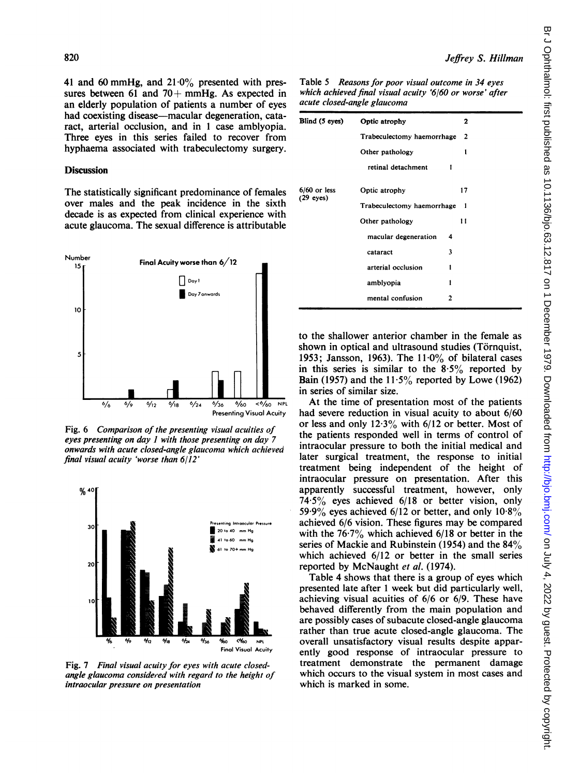41 and 60 mmHg, and  $21.0\%$  presented with pressures between 61 and 70 + mmHg. As expected in an elderly population of patients a number of eyes had coexisting disease—macular degeneration, cataract, arterial occlusion, and in <sup>1</sup> case amblyopia. Three eyes in this series failed to recover from hyphaema associated with trabeculectomy surgery.

### **Discussion**

The statistically significant predominance of females over males and the peak incidence in the sixth decade is as expected from clinical experience with acute glaucoma. The sexual difference is attributable



Fig. 6 Comparison of the presenting visual acuities of  $\overline{c}$  or eyes presenting on day  $l$  with those presenting on day  $\tilde{l}$ onwards with acute closed-angle glaucom final visual acuity 'worse than 6/12'



Fig. 7 Final visual acuity for eyes with acute closedangle glaucoma considered with regard to the height of intraocular pressure on presentation

Table 5 Reasons for poor visual outcome in 34 eyes which achieved final visual acuity '6/60 or worse' after acute closed-angle glaucoma

| Blind (5 eyes) | Optic atrophy<br>2              |              |    |  |  |  |
|----------------|---------------------------------|--------------|----|--|--|--|
|                | Trabeculectomy haemorrhage      | $\mathbf{2}$ |    |  |  |  |
|                | Other pathology                 |              | 1  |  |  |  |
|                | retinal detachment              | 1            |    |  |  |  |
| $6/60$ or less | Optic atrophy                   |              | 17 |  |  |  |
| $(29$ eyes)    | Trabeculectomy haemorrhage<br>1 |              |    |  |  |  |
|                | Other pathology                 |              | 11 |  |  |  |
|                | macular degeneration            |              |    |  |  |  |
|                | cataract                        | 3            |    |  |  |  |
|                | arterial occlusion              | 1            |    |  |  |  |
|                | amblyopia                       | 1            |    |  |  |  |
|                | mental confusion                | 2            |    |  |  |  |

to the shallower anterior chamber in the female as shown in optical and ultrasound studies (Törnquist, 1953; Jansson, 1963). The  $11.0\%$  of bilateral cases in this series is similar to the  $8.5\%$  reported by Bain (1957) and the  $11.5\%$  reported by Lowe (1962) in series of similar size.

 $\frac{1}{36}$   $\frac{1}{60}$   $\frac{1}{60}$   $\frac{1}{60}$   $\frac{1}{60}$   $\frac{1}{60}$   $\frac{1}{60}$   $\frac{1}{60}$   $\frac{1}{60}$   $\frac{1}{60}$   $\frac{1}{60}$   $\frac{1}{60}$   $\frac{1}{60}$   $\frac{1}{60}$   $\frac{1}{60}$   $\frac{1}{60}$   $\frac{1}{60}$   $\frac{1}{60}$   $\frac{1}{60}$   $\frac{1}{60}$  had severe reduction in visual acuity to about  $6/60$ or less and only  $12.3\%$  with  $6/12$  or better. Most of the patients responded well in terms of control of enting on day 7 the patients responded well in terms of control of the initial medical and intraocular pressure to both the initial medical and later surgical treatment, the response to initial treatment being independent of the height of intraocular pressure on presentation. After this apparently successful treatment, however, only 74.5% eyes achieved 6/18 or better vision, only 59.9% eyes achieved  $6/12$  or better, and only  $10.8\%$  $\frac{S_{\text{reduing-hirosculor}}{S_{\text{reduq}}}}$  entimes achieved 6/6 vision. These figures may be compared  $20 \times 40$  mm Hg with the 76.7% which achieved 6/18 or better in the  $\frac{443\%}{200\%}$  eyes achieved  $6/12$  or better, and only  $10.8\%$ <br>  $40\%$  achieved  $6/6$  vision. These figures may be compared<br>  $\frac{41\%60\%}{}$  mm Hg<br>  $\frac{41\%60\%}{}$  mm Hg<br>  $\frac{41\%60\%}{}$  mm Hg<br>  $\frac{41\%60\%}{}$  mm Hg<br>  $\frac{3100 \text{ m/s}}{1000 \text{ m/s}}$  series of Mackie and Rubinstein (1954) and the 84% which achieved  $6/12$  or better in the small series reported by McNaught et al. (1974).

Table 4 shows that there is a group of eyes which presented late after 1 week but did particularly well, achieving visual acuities of  $6/6$  or  $6/9$ . These have behaved differently from the main population and are possibly cases of subacute closed-angle glaucoma rather than true acute closed-angle glaucoma. The %o (%o NPL overall unsatisfactory visual results despite appar-<br>Final Visual Acuity can artly appel response of intraorular pressure to ently good response of intraocular pressure to treatment demonstrate the permanent damage which occurs to the visual system in most cases and which is marked in some.